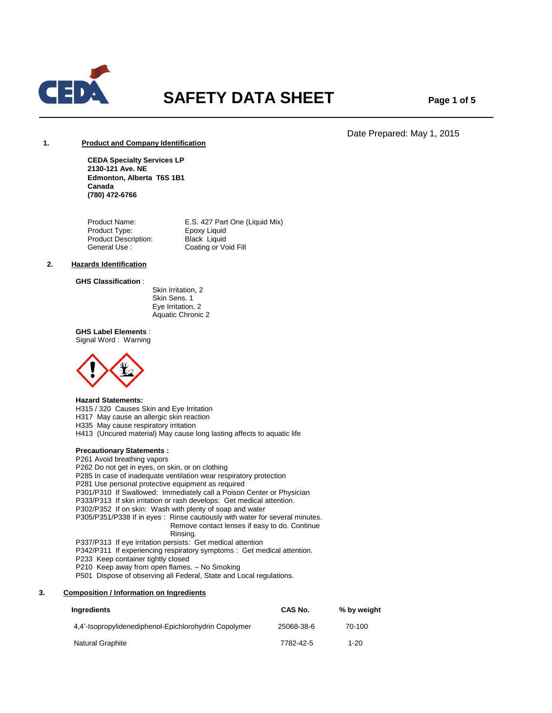

# **SAFETY DATA SHEET** Page 1 of 5

# Date Prepared: May 1, 2015

# **1. Product and Company Identification**

**CEDA Specialty Services LP 2130-121 Ave. NE Edmonton, Alberta T6S 1B1 Canada (780) 472-6766**

Product Name: E.S. 427 Part One (Liquid Mix)<br>Product Type: Epoxy Liquid Product Type: Product Description: Black Liquid<br>General Use : Coating or Vo Coating or Void Fill

# **2. Hazards Identification**

**GHS Classification** :

 Skin Irritation, 2 Skin Sens. 1 Eye Irritation, 2 Aquatic Chronic 2

**GHS Label Elements** : Signal Word : Warning



# **Hazard Statements:**

H315 / 320 Causes Skin and Eye Irritation

H317 May cause an allergic skin reaction

H335 May cause respiratory irritation

H413 (Uncured material) May cause long lasting affects to aquatic life

#### **Precautionary Statements :**

P261 Avoid breathing vapors

- P262 Do not get in eyes, on skin, or on clothing
- P285 In case of inadequate ventilation wear respiratory protection
- P281 Use personal protective equipment as required
- P301/P310 If Swallowed: Immediately call a Poison Center or Physician
- P333/P313 If skin irritation or rash develops: Get medical attention.
- P302/P352 If on skin: Wash with plenty of soap and water
- P305/P351/P338 If in eyes : Rinse cautiously with water for several minutes.
	- Remove contact lenses if easy to do. Continue Rinsing.
- P337/P313 If eye irritation persists: Get medical attention
- P342/P311 If experiencing respiratory symptoms : Get medical attention.
- P233 Keep container tightly closed
- P210 Keep away from open flames. No Smoking

P501 Dispose of observing all Federal, State and Local regulations.

# **3. Composition / Information on Ingredients**

| Ingredients                                           | CAS No.    | % by weight |
|-------------------------------------------------------|------------|-------------|
| 4.4'-Isopropylidenediphenol-Epichlorohydrin Copolymer | 25068-38-6 | 70-100      |
| Natural Graphite                                      | 7782-42-5  | $1 - 20$    |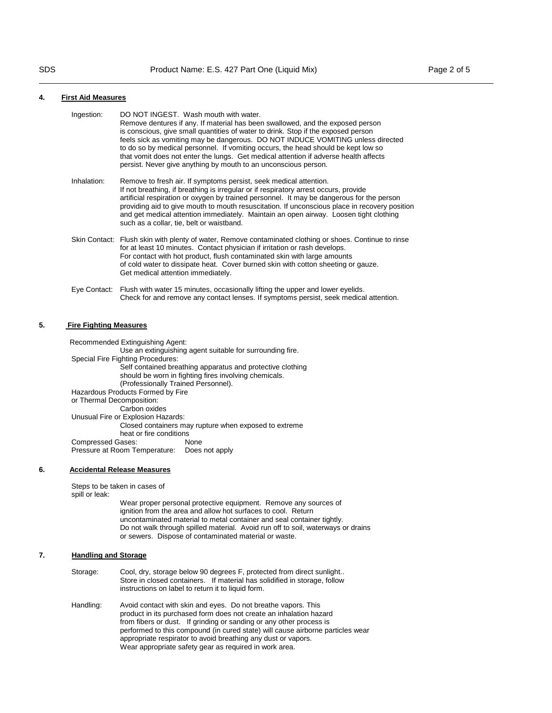#### **4. First Aid Measures**

| Ingestion:   | DO NOT INGEST. Wash mouth with water.<br>Remove dentures if any. If material has been swallowed, and the exposed person<br>is conscious, give small quantities of water to drink. Stop if the exposed person<br>feels sick as vomiting may be dangerous. DO NOT INDUCE VOMITING unless directed<br>to do so by medical personnel. If vomiting occurs, the head should be kept low so<br>that vomit does not enter the lungs. Get medical attention if adverse health affects<br>persist. Never give anything by mouth to an unconscious person. |
|--------------|-------------------------------------------------------------------------------------------------------------------------------------------------------------------------------------------------------------------------------------------------------------------------------------------------------------------------------------------------------------------------------------------------------------------------------------------------------------------------------------------------------------------------------------------------|
| Inhalation:  | Remove to fresh air. If symptoms persist, seek medical attention.<br>If not breathing, if breathing is irregular or if respiratory arrest occurs, provide<br>artificial respiration or oxygen by trained personnel. It may be dangerous for the person<br>providing aid to give mouth to mouth resuscitation. If unconscious place in recovery position<br>and get medical attention immediately. Maintain an open airway. Loosen tight clothing<br>such as a collar, tie, belt or waistband.                                                   |
|              | Skin Contact: Flush skin with plenty of water, Remove contaminated clothing or shoes. Continue to rinse<br>for at least 10 minutes. Contact physician if irritation or rash develops.<br>For contact with hot product, flush contaminated skin with large amounts<br>of cold water to dissipate heat. Cover burned skin with cotton sheeting or gauze.<br>Get medical attention immediately.                                                                                                                                                    |
| Eye Contact: | Flush with water 15 minutes, occasionally lifting the upper and lower eyelids.<br>Check for and remove any contact lenses. If symptoms persist, seek medical attention.                                                                                                                                                                                                                                                                                                                                                                         |

#### **5. Fire Fighting Measures**

 Recommended Extinguishing Agent: Use an extinguishing agent suitable for surrounding fire. Special Fire Fighting Procedures: Self contained breathing apparatus and protective clothing should be worn in fighting fires involving chemicals. (Professionally Trained Personnel). Hazardous Products Formed by Fire or Thermal Decomposition: Carbon oxides Unusual Fire or Explosion Hazards: Closed containers may rupture when exposed to extreme heat or fire conditions<br>
Sases: None Compressed Gases: Pressure at Room Temperature: Does not apply

## **6. Accidental Release Measures**

Steps to be taken in cases of spill or leak:

> Wear proper personal protective equipment. Remove any sources of ignition from the area and allow hot surfaces to cool. Return uncontaminated material to metal container and seal container tightly. Do not walk through spilled material. Avoid run off to soil, waterways or drains or sewers. Dispose of contaminated material or waste.

# **7. Handling and Storage**

| Storage: | Cool, dry, storage below 90 degrees F, protected from direct sunlight     |
|----------|---------------------------------------------------------------------------|
|          | Store in closed containers. If material has solidified in storage, follow |
|          | instructions on label to return it to liquid form.                        |

Handling: Avoid contact with skin and eyes. Do not breathe vapors. This product in its purchased form does not create an inhalation hazard from fibers or dust. If grinding or sanding or any other process is performed to this compound (in cured state) will cause airborne particles wear appropriate respirator to avoid breathing any dust or vapors. Wear appropriate safety gear as required in work area.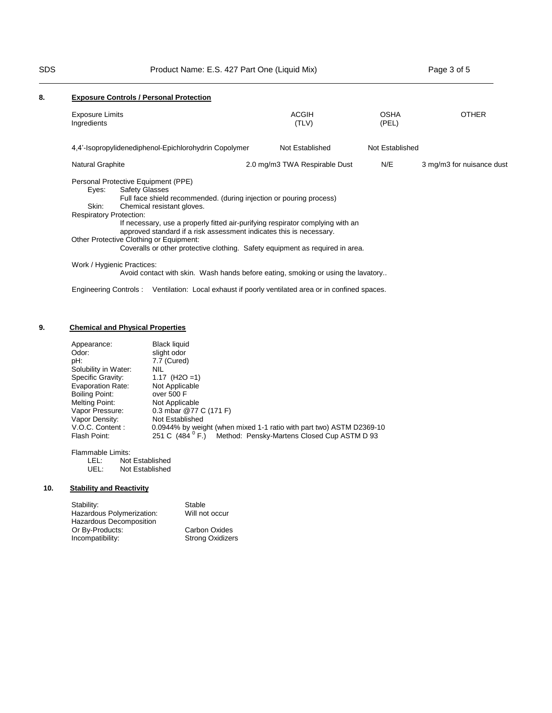| 8. |                                                                                                                                                                                                                                                                                                                                                                                                                                                                                                            | <b>Exposure Controls / Personal Protection</b>        |                                                                                  |                      |                           |
|----|------------------------------------------------------------------------------------------------------------------------------------------------------------------------------------------------------------------------------------------------------------------------------------------------------------------------------------------------------------------------------------------------------------------------------------------------------------------------------------------------------------|-------------------------------------------------------|----------------------------------------------------------------------------------|----------------------|---------------------------|
|    | <b>Exposure Limits</b><br>Ingredients                                                                                                                                                                                                                                                                                                                                                                                                                                                                      |                                                       | ACGIH<br>(TLV)                                                                   | <b>OSHA</b><br>(PEL) | <b>OTHER</b>              |
|    |                                                                                                                                                                                                                                                                                                                                                                                                                                                                                                            | 4.4'-Isopropylidenediphenol-Epichlorohydrin Copolymer | Not Established                                                                  | Not Established      |                           |
|    | Natural Graphite                                                                                                                                                                                                                                                                                                                                                                                                                                                                                           |                                                       | 2.0 mg/m3 TWA Respirable Dust                                                    | N/E                  | 3 mg/m3 for nuisance dust |
|    | Personal Protective Equipment (PPE)<br><b>Safety Glasses</b><br>Eyes:<br>Full face shield recommended. (during injection or pouring process)<br>Skin:<br>Chemical resistant gloves.<br><b>Respiratory Protection:</b><br>If necessary, use a properly fitted air-purifying respirator complying with an<br>approved standard if a risk assessment indicates this is necessary.<br>Other Protective Clothing or Equipment:<br>Coveralls or other protective clothing. Safety equipment as required in area. |                                                       |                                                                                  |                      |                           |
|    |                                                                                                                                                                                                                                                                                                                                                                                                                                                                                                            | Work / Hygienic Practices:                            | Avoid contact with skin. Wash hands before eating, smoking or using the lavatory |                      |                           |

# **9. Chemical and Physical Properties**

| Specific Gravity:<br>1.17 $(H2O=1)$<br><b>Evaporation Rate:</b><br>Not Applicable<br>Boiling Point:<br>over 500 F<br>Melting Point:<br>Not Applicable<br>0.3 mbar @77 C (171 F)<br>Vapor Pressure:<br>Not Established<br>Vapor Density:<br>V.O.C. Content:<br>0.0944% by weight (when mixed 1-1 ratio with part two) ASTM D2369-10<br>251 C (484 <sup>0</sup> F.)<br>Flash Point: | Appearance:<br>Odor:<br>pH:<br>Solubility in Water: | <b>Black liquid</b><br>slight odor<br>7.7 (Cured)<br><b>NIL</b> | Method: Pensky-Martens Closed Cup ASTM D 93 |
|-----------------------------------------------------------------------------------------------------------------------------------------------------------------------------------------------------------------------------------------------------------------------------------------------------------------------------------------------------------------------------------|-----------------------------------------------------|-----------------------------------------------------------------|---------------------------------------------|
|-----------------------------------------------------------------------------------------------------------------------------------------------------------------------------------------------------------------------------------------------------------------------------------------------------------------------------------------------------------------------------------|-----------------------------------------------------|-----------------------------------------------------------------|---------------------------------------------|

Engineering Controls : Ventilation: Local exhaust if poorly ventilated area or in confined spaces.

Flammable Limits:<br>LEL: Not LEL: Not Established<br>UEL: Not Established

Not Established

# **10. Stability and Reactivity**

| Stability:                | Stable                  |
|---------------------------|-------------------------|
| Hazardous Polymerization: | Will not occur          |
| Hazardous Decomposition   |                         |
| Or By-Products:           | Carbon Oxides           |
| Incompatibility:          | <b>Strong Oxidizers</b> |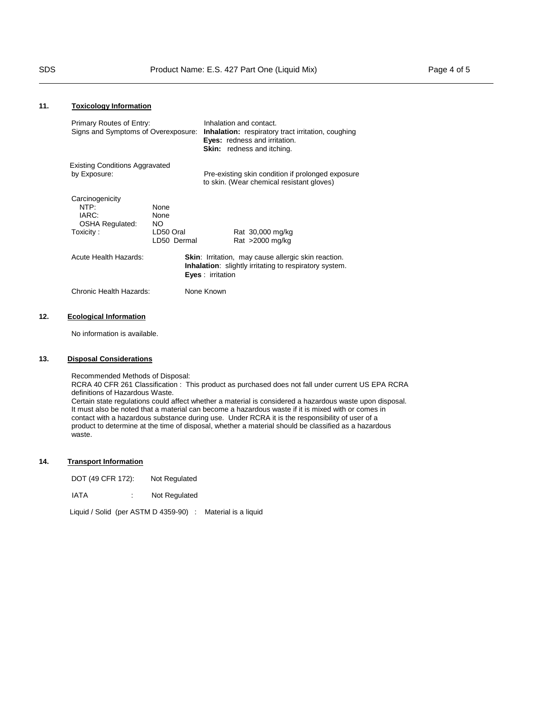| Primary Routes of Entry:<br>Signs and Symptoms of Overexposure:          |                                                        |                          | Inhalation and contact.<br><b>Inhalation:</b> respiratory tract irritation, coughing<br>Eyes: redness and irritation.<br>Skin: redness and itching. |  |
|--------------------------------------------------------------------------|--------------------------------------------------------|--------------------------|-----------------------------------------------------------------------------------------------------------------------------------------------------|--|
| <b>Existing Conditions Aggravated</b><br>by Exposure:                    |                                                        |                          | Pre-existing skin condition if prolonged exposure<br>to skin. (Wear chemical resistant gloves)                                                      |  |
| Carcinogenicity<br>NTP:<br>IARC:<br><b>OSHA Regulated:</b><br>Toxicity : | <b>None</b><br>None<br>NO.<br>LD50 Oral<br>LD50 Dermal |                          | Rat 30,000 mg/kg<br>Rat $>2000$ mg/kg                                                                                                               |  |
| Acute Health Hazards:                                                    |                                                        | <b>Eyes</b> : irritation | <b>Skin:</b> Irritation, may cause allergic skin reaction.<br><b>Inhalation:</b> slightly irritating to respiratory system.                         |  |
| Chronic Health Hazards:                                                  |                                                        | None Known               |                                                                                                                                                     |  |
|                                                                          |                                                        |                          |                                                                                                                                                     |  |

# **12. Ecological Information**

No information is available.

# **13. Disposal Considerations**

Recommended Methods of Disposal: RCRA 40 CFR 261 Classification : This product as purchased does not fall under current US EPA RCRA definitions of Hazardous Waste. Certain state regulations could affect whether a material is considered a hazardous waste upon disposal. It must also be noted that a material can become a hazardous waste if it is mixed with or comes in contact with a hazardous substance during use. Under RCRA it is the responsibility of user of a product to determine at the time of disposal, whether a material should be classified as a hazardous waste.

# **14. Transport Information**

| DOT (49 CFR 172): | Not Regulated |
|-------------------|---------------|
|-------------------|---------------|

| IATA |  | Not Regulated |
|------|--|---------------|
|------|--|---------------|

Liquid / Solid (per ASTM D 4359-90) : Material is a liquid